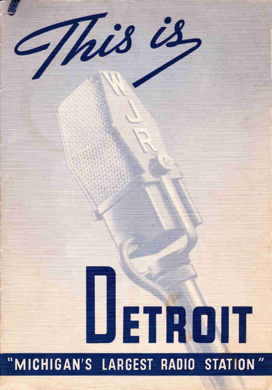# This is, ETROIT "MICHIGAN'S LARGEST RADIO STATION"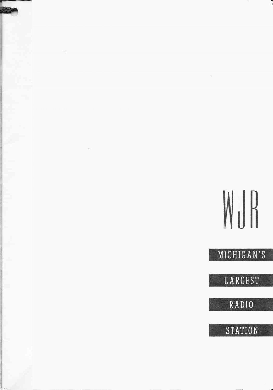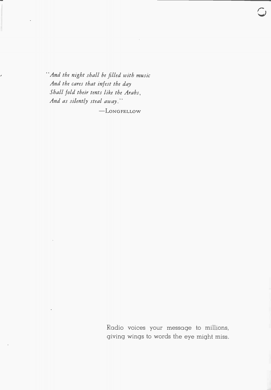"And the night shall be filled with music And the cares that infest the day Shall fold their tents like the Arabs, And as silently steal away."  $-L$ ONGFELLOW

> Radio voices your message to millions, giving wings to words the eye might miss.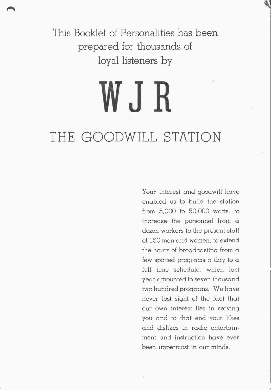This Booklet of Personalities has been prepared for thousands of loyal listeners by

et al.  $\blacksquare$ 

## WJR THE GOODWILL STATION

Your interest and goodwill have enabled us to build the station from 5,000 to 50,000 watts, to increase the personnel from a dozen workers to the present staff of 150 men and women, to extend the hours of broadcasting from a few spotted programs a day to a full time schedule, which last year amounted to seven thousand two hundred programs. We have never lost sight of the fact that our own interest lies in serving you and to that end your likes and dislikes in radio entertainment and instruction have ever been uppermost in our minds.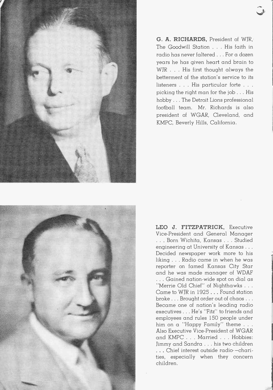

G. A. RICHARDS, President of WJR, The Goodwill Station . . . His faith in radio has never faltered . . For a dozen years he has given heart and brain to WIR . . . His first thought always the betterment of the station's service to its listeners . . . His particular forte . . . picking the right man for the job . . . His hobby . . . The Detroit Lions professional football team. Mr. Richards is also president of WGAR, Cleveland, and KMPC, Beverly Hills, California.



LEO J. FITZPATRICK, Executive Vice-President and General Manager . . . Born Wichita, Kansas . . . Studied engineering at University of Kansas . . . Decided newspaper work more to his liking . . . Radio came in when he was reporter on famed Kansas City Star and he was made manager of WDAF . . . Gained nation-wide spot on dial as Merrie Old Chief" of Nighthawks . . Came to WJR in 1925 . . Found station broke . . . Brought order out of chaos . . . Became one of nation's leading radio executives . . . He's "Fitz" to friends and employees and rules 150 people under him on a "Happy Family" theme . . . Also Executive Vice-President of WGAR and KMPC . . . Married . . Hobbies: Jimmy and Sandra . . . his two children . • . Chief interest outside radio- —charities, especially when they concern children.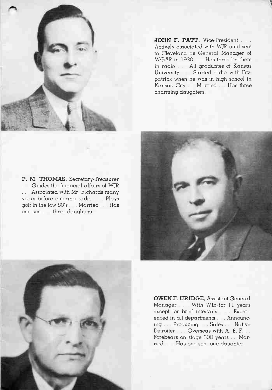

JOHN F. PATT, Vice-President . . . Actively associated with WJR until sent to Cleveland as General Manager of WGAR in 1930 . . . Has three brothers in radio . . . All graduates of Kansas University . . . Started radio with Fitzpatrick when he was in high school in Kansas City ... Married ... Has three charming daughters.





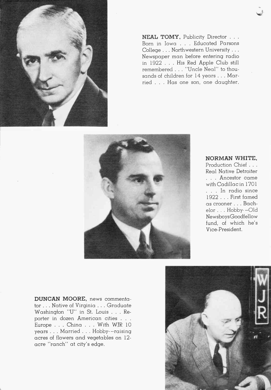

NEAL TOMY, Publicity Director . . . Born in Iowa . . . Educated Parsons College . . . Northwestern University . . . Newspaper man before entering radio in 1922 . . . His Red Apple Club still remembered . . . "Uncle Neal" to thousands of children for 14 years . . . Married . . . Has one son, one daughter.



#### NORMAN WHITE,

Production Chief . . . Real Native Detroiter . . . Ancestor came with Cadillac in 1701 . . . In radio since 1922 . . . First famed as crooner . . . Bachelor . . . Hobby -- Old NewsboysGoodfellow fund, of which he's Vice-President.

DUNCAN MOORE, news commentator . . . Native of Virginia . . . Graduate Washington "U" in St. Louis . . . Reporter in dozen American cities . . . Europe . . . China . . . With WIR 10 years . . . Married . . . Hobby--raising acres of flowers and vegetables on 12 acre "ranch" at city's edge.

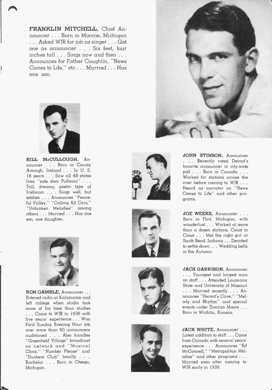FRANKLIN MITCHELL, Chief Announcer . . . Born in Monroe, Michigan ... Asked WJR for job as singer ... Got one as announcer . . . Six feet, four inches tall . . . Sings now and then . . . Announces for Father Coughlin, "News Comes to Life," etc . . . Married . . . Has one son.



BILL McCULLOUGH, Announcer . . . Born in County Armagh, Ireland . . . In U. S. 18 years . . . Saw all 48 states from "side door Pullman" . . . Tall, dreamy, poetic type of Irishman . . . Sings well, but seldom . . . Announces "Peace- $\mu$  valley, Calling All Cars, "Unbroken Melodies" among others . . . Married . . . Has one son, one daughter.



RON GAMBLE, Announcer... Entered radio at Kalamazoo and left college when studio took more of his time than studies . . . Came to WJR in 1938 with five years' experience . . . Won Ford Sunday Evening Hour job over more than 60 announcers auditioned . . . Also handles "Greenfield Village" broadcast on network and "Musical Clock," "Number Please" and "Dunkers Club" locally . . . Bachelor . . . Born in Otsego, Michigan.











JOHN STINSON, Announcer . ... Recently voted Detroit's favorite announcer in city-wide poll . . . Born in Canada . . . Worked for stations across the river before coming to WJR . . . Heard as narrator on "News Comes to Life" and other programs.

JOE WEEKS, Announcer . . . Born in Flint, Michigan, with wanderlust . . . Worked at more than a dozen stations, Coast to Coast . . . Met the right girl at South Bend, Indiana ... Decided to settle down ... Wedding bells in the Autumn.

JACK GARRISON, Announcer . . . Youngest and largest man on staff . . . Attended Louisiana State and University of Missouri . . . Married recently . . . Announces "Hermit's Cave," "Melody and Rhythm" and special events under Duncan Moore . . . Born in Wichita, Kansas.

JACK WHITE, Announcer . . . Latest addition to staff .... Came from Canada with several years' experience . . . Announces "Ed McConnell," "Metropolitan Melodies" and other programs . . . Married soon after coming to WIR early in 1939.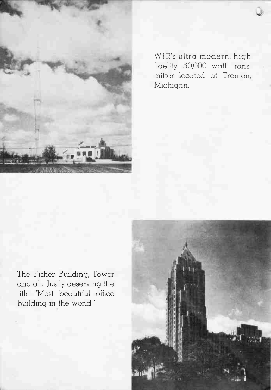

WJR's ultra-modern, high fidelity, 50,000 watt transmitter located at Trenton, Michigan.

The Fisher Building, Tower and all. Justly deserving the title "Most beautiful office building in the world."

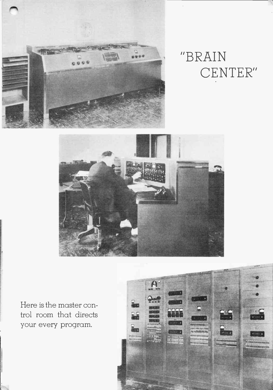

### "BRAIN CENTER"



Here is the master control room that directs your every program.

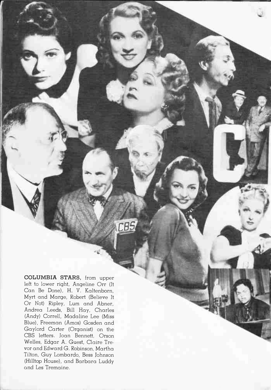COLUMBIA STARS, from upper left to lower right, Angeline Orr (It Can Be Done), H. V. Kaltenborn, Myrt and Marge, Robert (Believe It Or Not) Ripley, Lum and Abner, Andrea Leeds, Bill Hay, Charles (Andy) Correll, Madaline Lee (Miss Blue), Freeman (Amos) Gosden and Gaylord Carter (Organist) on the CBS letters. Joan Bennett, Orson Welles, Edgar A. Guest, Claire Trevor and Edward G. Robinson, Martha Tilton, Guy Lombardo, Bess Johnson (Hilltop House), and Barbara Luddy and Les Tremaine.

 $CB<sup>C</sup>$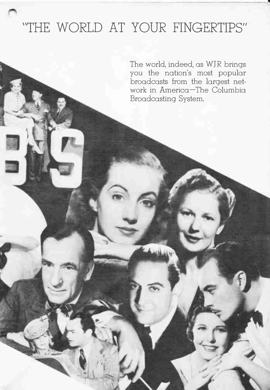#### "THE WORLD AT YOUR FINGERTIPS"

The world, indeed, as WJR brings you the nation's most popular broadcasts from the largest network in America—The Columbia Broadcasting System.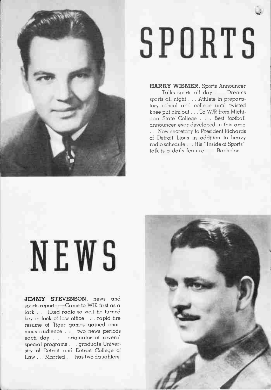

# SPORTS

 $\bullet$ 

HARRY WISMER, Sports Announcer . . . Talks sports all day . . . Dreams sports all night . . . Athlete in preparatory school and college until twisted knee put him out . . . To WIR from Michigan State" College . . . Best football announcer ever developed in this area . . . Now secretary to President Richards of Detroit Lions in addition to heavy radio schedule . . . His "Inside of Sports" talk is a daily feature . . . Bachelor.

# NEWS

JIMMY STEVENSON, news and sports reporter--Came to WJR first as a lark . . . liked radio so well he turned key in lock of law office . . . rapid fire resume of Tiger games gained enormous audience . . . two news periods each day . . originator of several special programs . . . graduate University of Detroit and Detroit College of Law . . . Married . . . has two daughters.

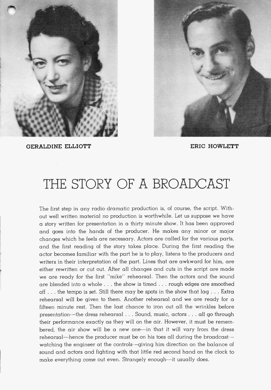



GERALDINE ELLIOTT **ERIC HOWLETT** 

#### THE STORY OF A BROADCAST

The first step in any radio dramatic production is, of course, the script. Without well written material no production is worthwhile. Let us suppose we have a story written for presentation in a thirty minute show. It has been approved and goes into the hands of the producer. He makes any minor or major changes which he feels are necessary. Actors are called for the various parts, and the first reading of the story takes place. During the first reading the actor becomes familiar with the part he is to play, listens to the producers and writers in their interpretation of the part. Lines that are awkward for him, are either rewritten or cut out. After all changes and cuts in the script are made we are ready for the first "mike" rehearsal. Then the actors and the sound are blended into a whole . . . the show is timed . . . rough edges are smoothed off . . . the tempo is set. Still there may be spots in the show that lag . . . Extra rehearsal will be given to them. Another rehearsal and we are ready for a fifteen minute rest. Then the last chance to iron out all the wrinkles before presentation--the dress rehearsal . . . Sound, music, actors . . . all go through their performance exactly as they will on the air. However, it must be remembered, the air show will be a new one--in that it will vary from the dress rehearsal--hence the producer must be on his toes all during the broadcast- watching the engineer at the controls- —giving him direction on the balance of sound and actors and fighting with that little red second hand on the clock to make everything come out even. Strangely enough--it usually does.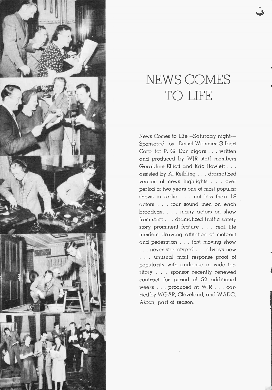

#### NEWS COMES TO LIFE

News Comes to Life —Saturday night-- Sponsored by Deisel-Wemmer-Gilbert Corp. for R. G. Dun cigars . . . written and produced by WJR staff members Geraldine Elliott and Eric Howlett . . . assisted by Al Reibling . . . dramatized version of news highlights . . . over period of two years one of most popular shows in radio . . . not less than 18 actors . . . four sound men on each broadcast . . . many actors on show from start . . . dramatized traffic safety story prominent feature . . . real life incident drawing attention of motorist and pedestrian . . . fast moving show . . . never stereotyped . . . always new . . . unusual mail response proof of popularity with audience in wide territory . . . sponsor recently renewed contract for period of 52 additional weeks . . . produced at WJR . . carried by WGAR, Cleveland, and WADC, Akron, part of season.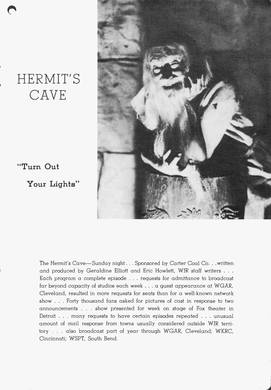#### HERMIT'S CAVE

"Turn Out

Your Lights"



The Hermit's Cave—Sunday night . . . Sponsored by Carter Coal Co. . .written and produced by Geraldine Elliott and Eric Howlett, WIR staff writers . . . Each program a complete episode . . . requests for admittance to broadcast far beyond capacity of studios each week . . . a quest appearance at WGAR, Cleveland, resulted in more requests for seats than for a well-known network show . . . Forty thousand fans asked for pictures of cast in response to two announcements . . . show presented for week on stage of Fox theater in Detroit . . . many requests to have certain episodes repeated . . . unusual amount of mail response from towns usually considered outside WJR territory . . . also broadcast part of year through WGAR, Cleveland; WKRC, Cincinnati; WSPT, South Bend.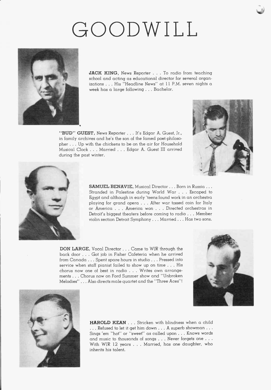## GOODWILL



JACK KING, News Reporter . . . To radio from teaching school and acting as educational director for several organizations . . . His "Headline News" at 11 P.M. seven nights a week has a large following . . . Bachelor.

"BUD" GUEST, News Reporter . . . It's Edgar A. Guest, Jr., in family archives and he's the son of the famed poet-philosopher . . . Up with the chickens to be on the air for Household Musical Clock . . . Married . . . Edgar A. Guest III arrived during the past winter.





SAMUEL BENAVIE, Musical Director . . . Born in Russia . . . Stranded in Palestine during World War . . . Escaped to Egypt and although in early 'teens found work in an orchestra playing for grand opera . . . After war tossed coin for Italy or America . . . America won . . . Directed orchestras in Detroit's biggest theaters before coming to radio . . . Member violin section Detroit Symphony. .. Married ... Has two sons.

DON LARGE, Vocal Director . . . Came to WIR through the back door . . . Got job in Fisher Cafeteria when he arrived from Canada . . . Spent spare hours in studio . . . Pressed into service when staff pianist failed to show up on time . . . His chorus now one of best in radio . . . Writes own arrangements . . Chorus now on Ford Summer show and "Unbroken Melodies" . . . Also directs male quartet and the "Three Aces"!





HAROLD KEAN . . . Stricken with blindness when a child ... Refused to let it get him down . . . A superb showman . . . Sings 'em "hot" or "sweet" as called upon . . . Knows words and music to thousands of songs . . . Never forgets one . . . With WJR 12 years . . . Married, has one daughter, who inherits his talent.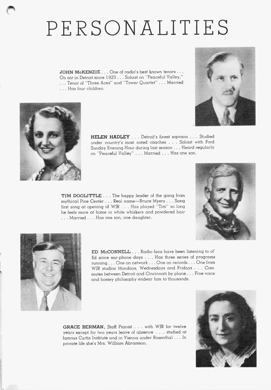## PERSONALITIES

JOHN McKENZIE . . . One of radio's best known tenors . . . On air in Detroit since 1925 .. . Soloist on "Peaceful Valley," . .. Tenor of "Three Aces" and "Tower Quartet" .. . Married . . . Has four children.





HELEN HADLEY . . . Detroit's finest soprano . . . Studied under country's most noted coaches . . . Soloist with Ford Sunday Evening Hour during last season . .. Heard regularly on "Peaceful Valley" . . . Married . . . Has one son.

TIM DOOLITTLE . . . The happy leader of the gang from mythical Pine Center . . . Real name—Bruce Myers . . . Sang first song at opening of WIR . . . Has played "Tim" so long he feels more at home in white whiskers and powdered hair . . . Married . . . Has one son, one daughter.





ED McCONNELL . . . Radio fans have been listening to al' Ed since ear-phone days . . . Has three series of programs running. .. One on network ... One on records ... One from WJR studios Mondays, Wednesdays and Fridays . . . Commutes between Detroit and Cincinnati by plane ... Fine voice and homey philosophy endear him to thousands.

GRACE BERMAN, Staff Pianist . . . with WJR for twelve years except for two years leave of absence . . . studied at famous Curtis Institute and in Vienna under Rosenthal . . . In private life she's Mrs. William Abramson.

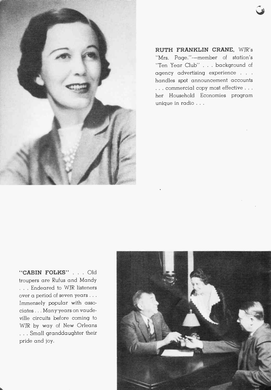

RUTH FRANKLIN CRANE, WIR's "Mrs. Page."---member of station's "Ten Year Club" . . . background of agency advertising experience . . . handles spot announcement accounts . . . commercial copy most effective . . . her Household Economies program unique in radio . . .

"CABIN FOLKS" . . . Old troupers are Rufus and Mandy . . . Endeared to WIR listeners over a period of seven years . . . Immensely popular with associates . . . Many years on vaudeville circuits before coming to WJR by way of New Orleans . . . Small granddaughter their pride and joy.

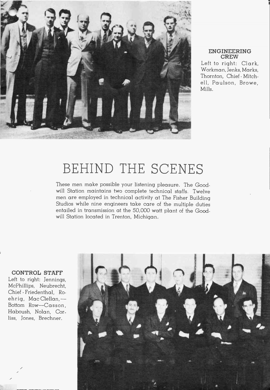

#### ENGINEERING **CREW**

..

Left to right: Clark, Workman, Jenks, Marks, Thornton, Chief - Mitchell, Paulson, Browe, Mills.

#### BEHIND THE SCENES

These men make possible your listening pleasure. The Goodwill Station maintains two complete technical staffs. Twelve men are employed in technical activity at The Fisher Building Studios while nine engineers take care of the multiple duties entailed in transmission at the 50,000 watt plant of the Goodwill Station located in Trenton, Michigan.

#### CONTROL STAFF

Left to right: Jennings, McPhillips, Neubrecht, Chief -Friedenthal, Ro ehrig, Mac Clellan,-Bottom Row—Casson, Haboush, Nolan, Corliss, Jones, Brechner.